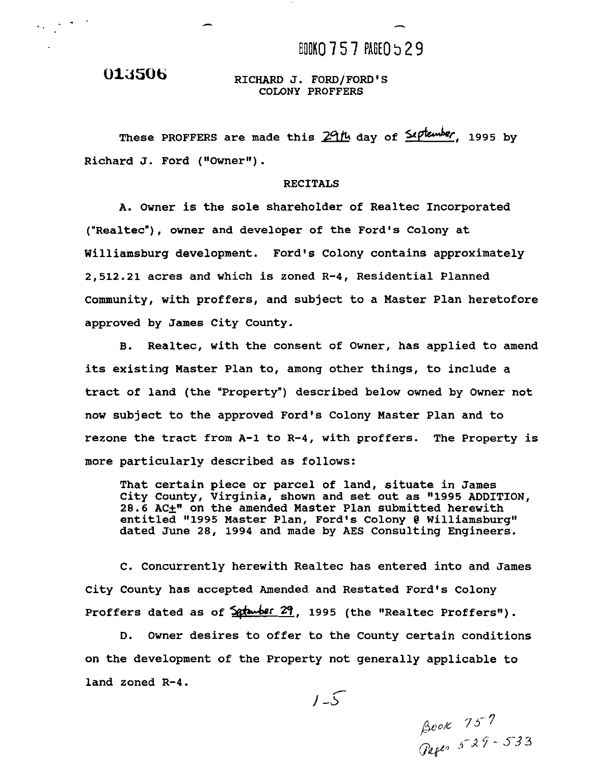### BOOK0757 PAGE0529

#### 013506

#### **RICHARD J. FORD/FORD'S COLONY PROFFERS**

These PROFFERS are made this  $\frac{24\mu}{4}$  day of *Siptember*, 1995 by Richard J. Ford ("Owner").

#### **RECITALS**

**A. Owner is the sole shareholder of Realtec Incorporated**  ("Realtec"), owner and developer of the Ford's Colony at **Williamsburg development. Ford's Colony contains approximately 2,512.21 acres and which is zoned R-4, Residential Planned Community, with proffers, and subject to a Master Plan heretofore approved by James City County.** 

**B. Realtec, with the consent of Owner, has applied to amend its existing Master Plan to, among other things, to include a tract of land (the "Property") described below owned by Owner not now subject to the approved Ford's Colony Master Plan and to rezone the tract from A-1 to R-4, with proffers. The Property is more particularly described as follows:** 

**That certain piece or parcel of land, situate in James**  City County, Virginia, shown and set out as "1995 ADDITION, **28.6 AC+" on the amended Master Plan submitted herewith**  entitled "1995 Master Plan, Ford's Colony @ Williamsburg" **dated June 28, 1994 and made by AES Consulting Engineers.** 

**C. Concurrently herewith Realtec has entered into and James City County has accepted Amended and Restated Ford's Colony**  Proffers dated as of *wher* **29**, 1995 (the "Realtec Proffers").

**D. Owner desires to offer to the County certain conditions on the development of the Property not generally applicable to land zoned R-4.** 

 $1 - 5$ 

Book 757<br>Paper 529-533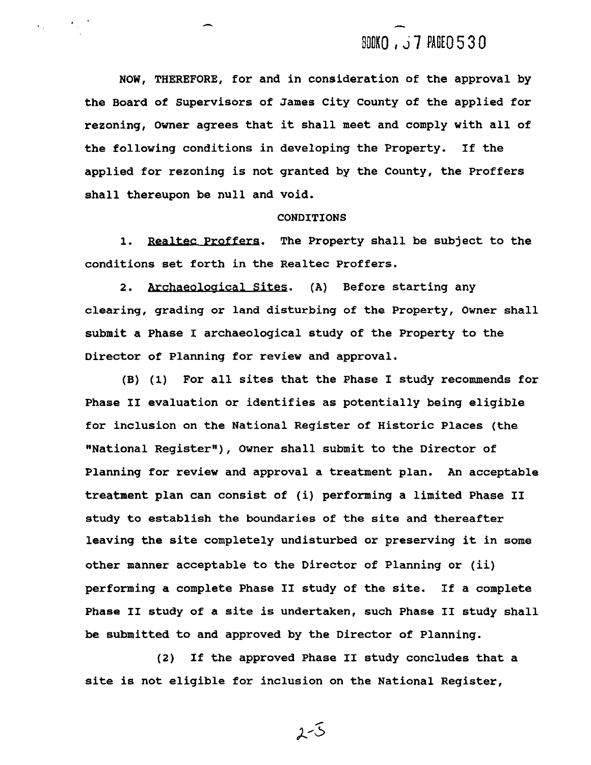## BOOKO, 37 PAGEO 530

**NOW, THEREFORE, for and in consideration of the approval by the Board of Supervisors of James City County of the applied for rezoning, Owner agrees that it shall meet and comply with all of the following conditions in developing the Property. If the applied for rezoning is not granted by the County, the Proffers shall thereupon be null and void.** 

#### **CONDITIONS**

1. Realtec Proffers. The Property shall be subject to the **conditions set forth in the Realtec Proffers.** 

2. Archaeological Sites. (A) Before starting any **clearing, grading or land disturbing of the Property, Owner shall submit a Phase I archaeological study of the Property to the Director of Planning for review and approval.** 

**(B) (1) For all sites that the Phase I study recommends for Phase I1 evaluation or identifies as potentially being eligible for inclusion on the National Register of Historic Places (the**  "National Register"), Owner shall submit to the Director of **Planning for review and approval a treatment plan. An acceptable treatment plan can consist of (i) performing a limited Phase I1 study to establish the boundaries of the site and thereafter leaving the site completely undisturbed or preserving it in some other manner acceptable to the Director of Planning or (ii) performing a complete Phase I1 study of the site. If a complete Phase I1 study of a site is undertaken, such Phase I1 study shall be submitted to and approved by the Director of Planning.** 

**(2) If the approved Phase I1 study concludes that a site is not eligible for inclusion on the National Register,** 

 $1 - 5$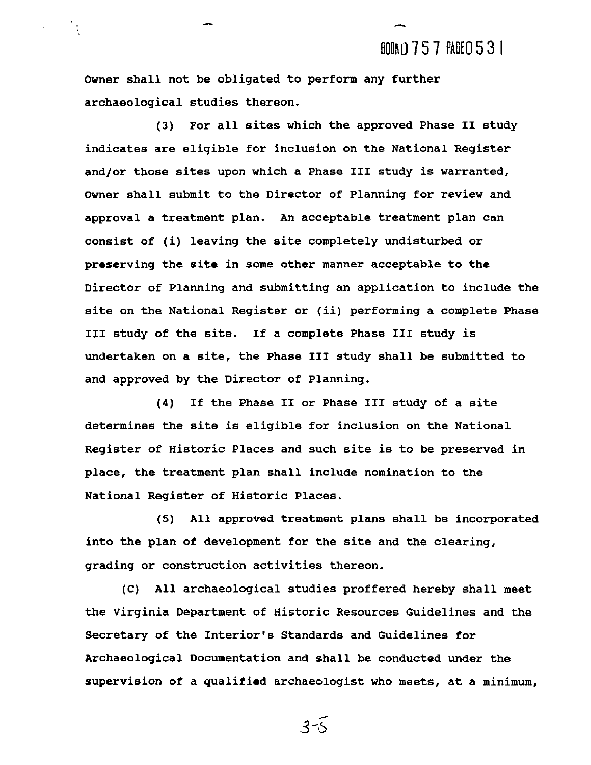## BOOKO 757 PAGE 0531

Owner shall not be obligated to perform any further archaeological studies thereon.

(3) For all sites which the approved Phase I1 study indicates are eligible for inclusion on the National Register and/or those sites upon which a Phase 111 study is warranted, Owner shall submit to the Director of Planning for review and approval a treatment plan. An acceptable treatment plan can consist of (i) leaving the site completely undisturbed or preserving the site in some other manner acceptable to the Director of Planning and submitting an application to include the site on the National Register or (ii) performing a complete Phase I11 study of the site. If a complete Phase I11 study is undertaken on a site, the Phase 111 study shall be submitted to and approved by the Director of Planning.

**(4)** If the Phase I1 or Phase I11 study of a site determines the site is eligible for inclusion on the National Register of Historic Places and such site is to be preserved in place, the treatment plan shall include nomination to the National Register of Historic Places.

**(5)** All approved treatment plans shall be incorporated into the plan of development for the site and the clearing, grading or construction activities thereon.

(C) All archaeological studies proffered hereby shall meet the Virginia Department of Historic Resources Guidelines and the Secretary of the Interior's Standards and Guidelines for Archaeological Documentation and shall be conducted under the supervision of a qualified archaeologist who meets, at a minimum,

 $3 - 5$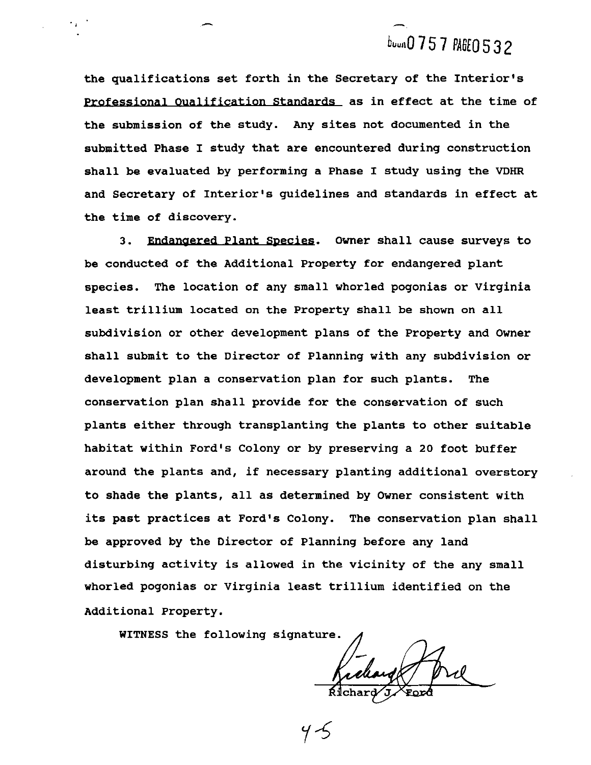## buun0757 PAGE0532

**the qualifications set forth in the Secretary of the Interior's**  Professional Oualification Standards as in effect at the time of **the submission of the study. Any sites not documented in the submitted Phase I study that are encountered during construction shall be evaluated by performing a Phase I study using the VDHR and Secretary of Interior's guidelines and standards in effect at the time of discovery.** 

**3. Endangered Plant Species. Owner shall cause surveys to be conducted of the Additional Property for endangered plant species. The location of any small whorled pogonias or Virginia least trillium located on the Property shall be shown on all subdivision or other development plans of the Property and Owner shall submit to the Director of Planning with any subdivision or development plan a conservation plan for such plants. The conservation plan shall provide for the conservation of such plants either through transplanting the plants to other suitable habitat within Ford's Colony or by preserving a 20 foot buffer around the plants and, if necessary planting additional overstory to shade the plants, all as determined by Owner consistent with its past practices at Ford's Colony. The conservation plan shall be approved by the Director of Planning before any land disturbing activity is allowed in the vicinity of the any small whorled pogonias or Virginia least trillium identified on the Additional Property.** 

WITNESS the following signature.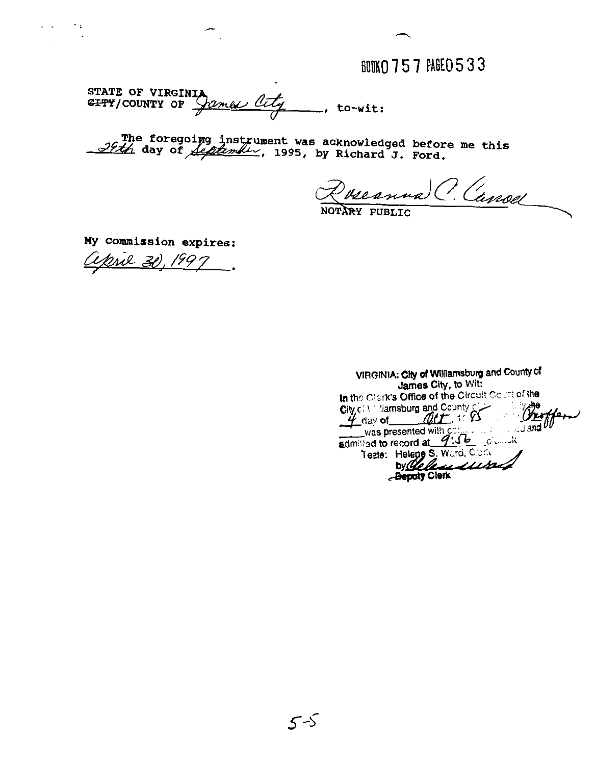**GOOKO 757 PAGEO 533** 

STATE OF VIRGINIA<br>GITY/COUNTY OF James lity \_\_\_\_\_, to-wit:

The foregoing instrument was acknowledged before me this<br>29th day of *deptomati*, 1995, by Richard J. Ford.

Roseanna C. Canoel

My commission expires:

 $\epsilon \rightarrow 0$  ,  $\epsilon \rightarrow 0$ 

april 30, 1997.

| VIRGINIA: City of Williamsburg and County of      |
|---------------------------------------------------|
| James City, to Wit:                               |
| In the Clark's Office of the Circuit Court of the |
| City of Villiamsburg and County of City of        |
|                                                   |
| was presented with community and Ut               |
| admitted to record at 9:56 Guillards              |
| Teste: Heleng S. Ward, Cterk                      |
| by Cleansward                                     |
| <b>Beputy Clerk</b>                               |